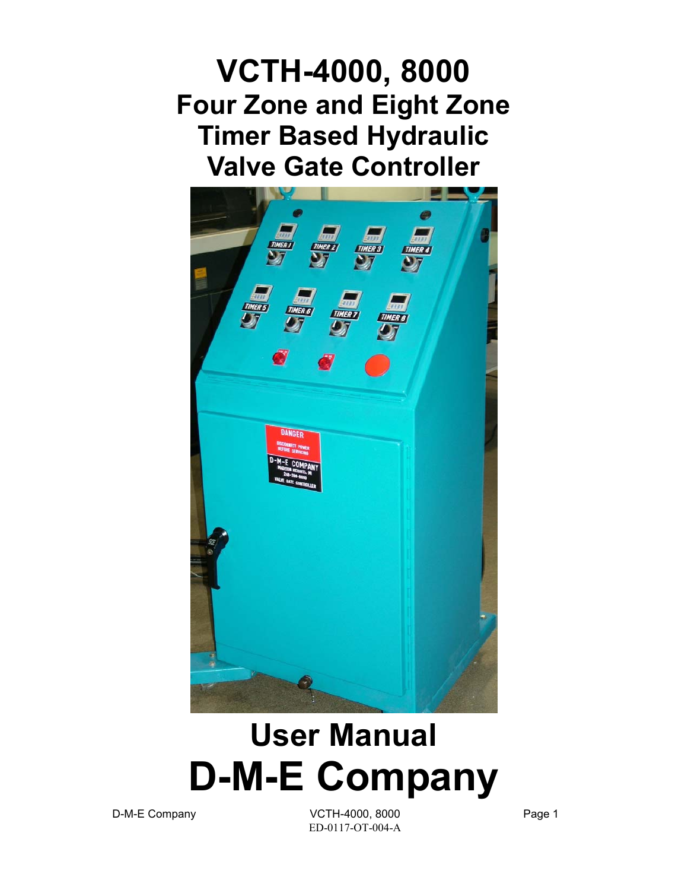**VCTH-4000, 8000 Four Zone and Eight Zone Timer Based Hydraulic Valve Gate Controller** 



# **User Manual D-M-E Company**

D-M-E Company COME COMPANY VCTH-4000, 8000 ED-0117-OT-004-A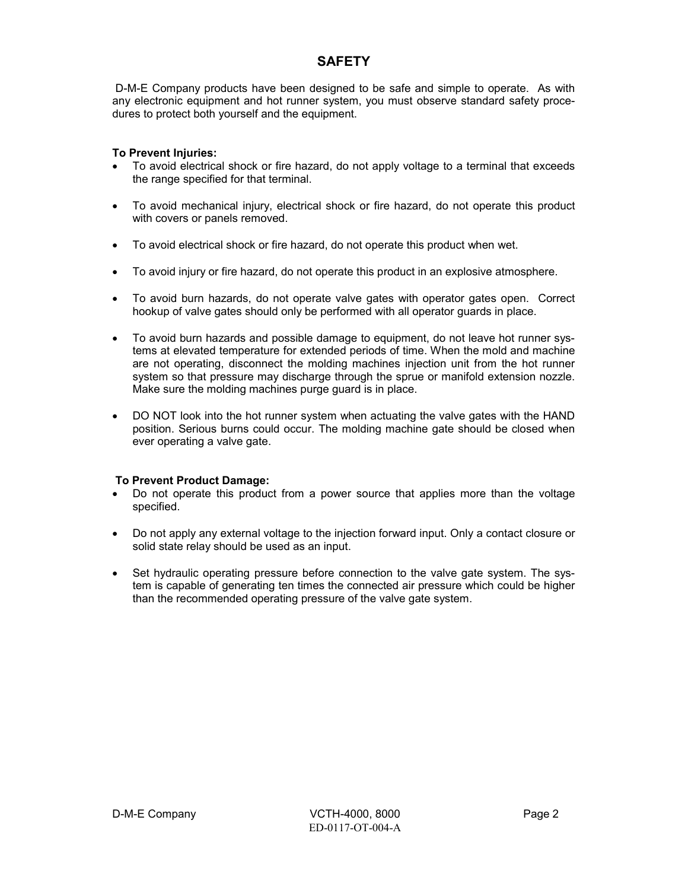### **SAFETY**

 D-M-E Company products have been designed to be safe and simple to operate. As with any electronic equipment and hot runner system, you must observe standard safety procedures to protect both yourself and the equipment.

#### **To Prevent Injuries:**

- To avoid electrical shock or fire hazard, do not apply voltage to a terminal that exceeds the range specified for that terminal.
- To avoid mechanical injury, electrical shock or fire hazard, do not operate this product with covers or panels removed.
- To avoid electrical shock or fire hazard, do not operate this product when wet.
- To avoid injury or fire hazard, do not operate this product in an explosive atmosphere.
- To avoid burn hazards, do not operate valve gates with operator gates open. Correct hookup of valve gates should only be performed with all operator guards in place.
- To avoid burn hazards and possible damage to equipment, do not leave hot runner systems at elevated temperature for extended periods of time. When the mold and machine are not operating, disconnect the molding machines injection unit from the hot runner system so that pressure may discharge through the sprue or manifold extension nozzle. Make sure the molding machines purge guard is in place.
- DO NOT look into the hot runner system when actuating the valve gates with the HAND position. Serious burns could occur. The molding machine gate should be closed when ever operating a valve gate.

#### **To Prevent Product Damage:**

- Do not operate this product from a power source that applies more than the voltage specified.
- Do not apply any external voltage to the injection forward input. Only a contact closure or solid state relay should be used as an input.
- Set hydraulic operating pressure before connection to the valve gate system. The system is capable of generating ten times the connected air pressure which could be higher than the recommended operating pressure of the valve gate system.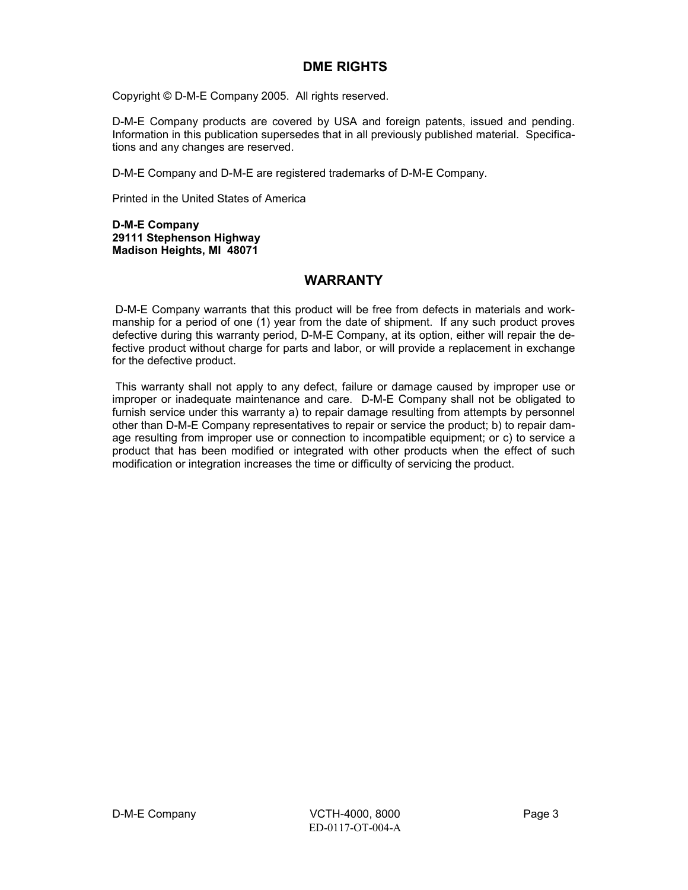#### **DME RIGHTS**

Copyright © D-M-E Company 2005. All rights reserved.

D-M-E Company products are covered by USA and foreign patents, issued and pending. Information in this publication supersedes that in all previously published material. Specifications and any changes are reserved.

D-M-E Company and D-M-E are registered trademarks of D-M-E Company.

Printed in the United States of America

**D-M-E Company 29111 Stephenson Highway Madison Heights, MI 48071** 

#### **WARRANTY**

 D-M-E Company warrants that this product will be free from defects in materials and workmanship for a period of one (1) year from the date of shipment. If any such product proves defective during this warranty period, D-M-E Company, at its option, either will repair the defective product without charge for parts and labor, or will provide a replacement in exchange for the defective product.

 This warranty shall not apply to any defect, failure or damage caused by improper use or improper or inadequate maintenance and care. D-M-E Company shall not be obligated to furnish service under this warranty a) to repair damage resulting from attempts by personnel other than D-M-E Company representatives to repair or service the product; b) to repair damage resulting from improper use or connection to incompatible equipment; or c) to service a product that has been modified or integrated with other products when the effect of such modification or integration increases the time or difficulty of servicing the product.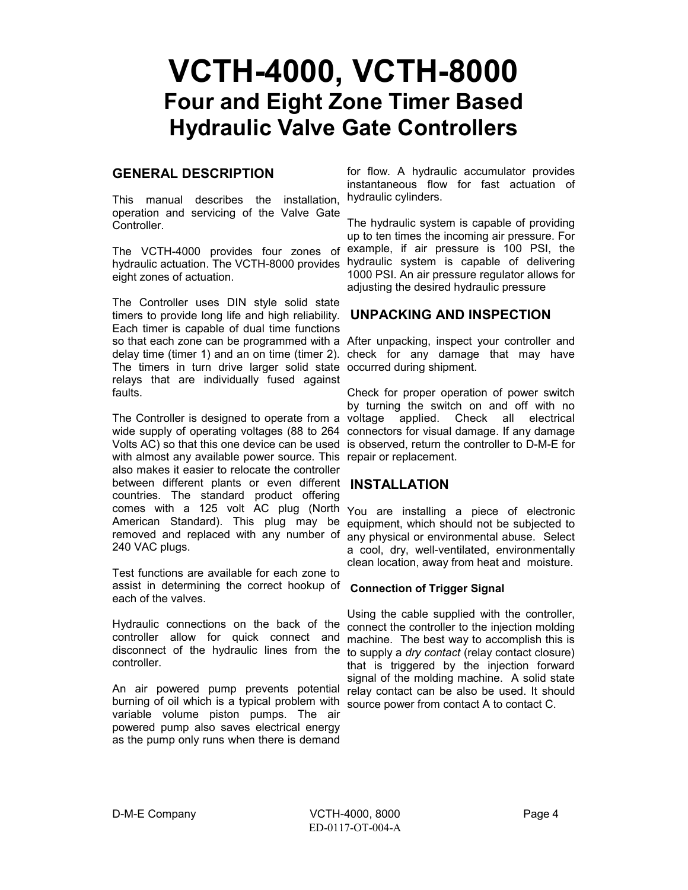## **VCTH-4000, VCTH-8000 Four and Eight Zone Timer Based Hydraulic Valve Gate Controllers**

#### **GENERAL DESCRIPTION**

This manual describes the installation, operation and servicing of the Valve Gate Controller.

hydraulic actuation. The VCTH-8000 provides eight zones of actuation.

The Controller uses DIN style solid state timers to provide long life and high reliability. Each timer is capable of dual time functions so that each zone can be programmed with a After unpacking, inspect your controller and delay time (timer 1) and an on time (timer 2). check for any damage that may have The timers in turn drive larger solid state occurred during shipment. relays that are individually fused against faults.

The Controller is designed to operate from a voltage applied. Check all electrical wide supply of operating voltages (88 to 264 connectors for visual damage. If any damage Volts AC) so that this one device can be used is observed, return the controller to D-M-E for with almost any available power source. This repair or replacement. also makes it easier to relocate the controller between different plants or even different **INSTALLATION**  countries. The standard product offering comes with a 125 volt AC plug (North American Standard). This plug may be removed and replaced with any number of 240 VAC plugs.

Test functions are available for each zone to assist in determining the correct hookup of **Connection of Trigger Signal**  each of the valves.

Hydraulic connections on the back of the controller allow for quick connect and disconnect of the hydraulic lines from the controller.

An air powered pump prevents potential burning of oil which is a typical problem with variable volume piston pumps. The air powered pump also saves electrical energy as the pump only runs when there is demand

for flow. A hydraulic accumulator provides instantaneous flow for fast actuation of hydraulic cylinders.

The VCTH-4000 provides four zones of example, if air pressure is 100 PSI, the The hydraulic system is capable of providing up to ten times the incoming air pressure. For hydraulic system is capable of delivering 1000 PSI. An air pressure regulator allows for adjusting the desired hydraulic pressure

#### **UNPACKING AND INSPECTION**

Check for proper operation of power switch by turning the switch on and off with no

You are installing a piece of electronic equipment, which should not be subjected to any physical or environmental abuse. Select a cool, dry, well-ventilated, environmentally clean location, away from heat and moisture.

Using the cable supplied with the controller, connect the controller to the injection molding machine. The best way to accomplish this is to supply a *dry contact* (relay contact closure) that is triggered by the injection forward signal of the molding machine. A solid state relay contact can be also be used. It should source power from contact A to contact C.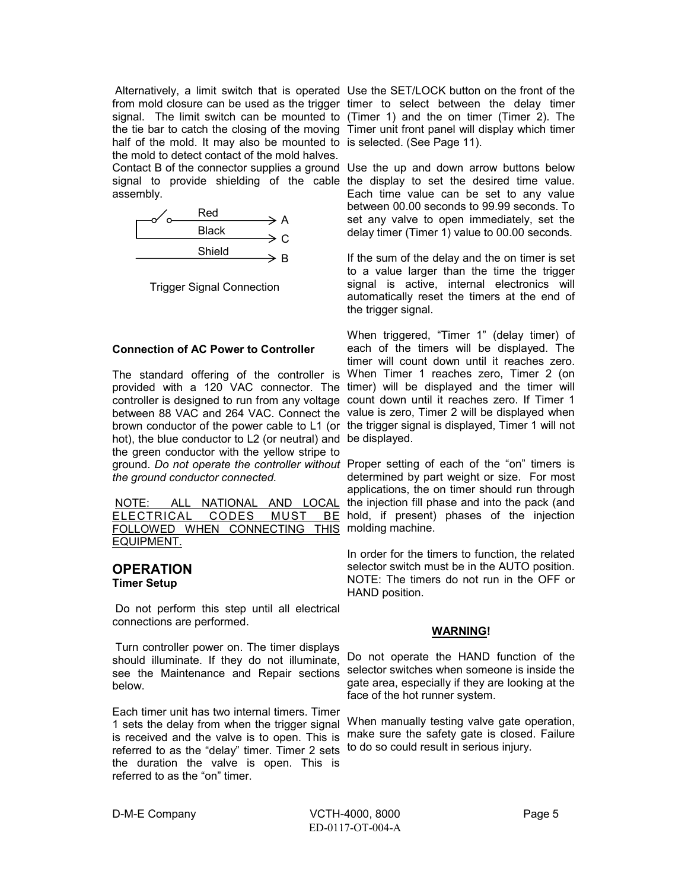half of the mold. It may also be mounted to is selected. (See Page 11). the mold to detect contact of the mold halves. Contact B of the connector supplies a ground Use the up and down arrow buttons below signal to provide shielding of the cable the display to set the desired time value. assembly.



Trigger Signal Connection

#### **Connection of AC Power to Controller**

The standard offering of the controller is When Timer 1 reaches zero, Timer 2 (on provided with a 120 VAC connector. The timer) will be displayed and the timer will controller is designed to run from any voltage count down until it reaches zero. If Timer 1 between 88 VAC and 264 VAC. Connect the value is zero, Timer 2 will be displayed when brown conductor of the power cable to L1 (or the trigger signal is displayed, Timer 1 will not hot), the blue conductor to L2 (or neutral) and be displayed. the green conductor with the yellow stripe to ground. *Do not operate the controller without*  Proper setting of each of the "on" timers is *the ground conductor connected.* 

| NOTE: ALL NATIONAL AND LOCAL  |  |  |  |  |
|-------------------------------|--|--|--|--|
| ELECTRICAL CODES MUST BE      |  |  |  |  |
| FOLLOWED WHEN CONNECTING THIS |  |  |  |  |
| EQUIPMENT.                    |  |  |  |  |

#### **OPERATION Timer Setup**

 Do not perform this step until all electrical connections are performed.

 Turn controller power on. The timer displays should illuminate. If they do not illuminate, see the Maintenance and Repair sections selector switches when someone is inside the below.

Each timer unit has two internal timers. Timer 1 sets the delay from when the trigger signal referred to as the "delay" timer. Timer 2 sets to do so could result in serious injury. the duration the valve is open. This is referred to as the "on" timer.

Alternatively, a limit switch that is operated Use the SET/LOCK button on the front of the from mold closure can be used as the trigger timer to select between the delay timer signal. The limit switch can be mounted to (Timer 1) and the on timer (Timer 2). The the tie bar to catch the closing of the moving Timer unit front panel will display which timer

> Each time value can be set to any value between 00.00 seconds to 99.99 seconds. To set any valve to open immediately, set the delay timer (Timer 1) value to 00.00 seconds.

> If the sum of the delay and the on timer is set to a value larger than the time the trigger signal is active, internal electronics will automatically reset the timers at the end of the trigger signal.

> When triggered, "Timer 1" (delay timer) of each of the timers will be displayed. The timer will count down until it reaches zero.

> determined by part weight or size. For most applications, the on timer should run through the injection fill phase and into the pack (and hold, if present) phases of the injection molding machine.

> In order for the timers to function, the related selector switch must be in the AUTO position. NOTE: The timers do not run in the OFF or HAND position.

#### **WARNING!**

Do not operate the HAND function of the gate area, especially if they are looking at the face of the hot runner system.

is received and the valve is to open. This is make sure the safety gate is closed. Failure When manually testing valve gate operation,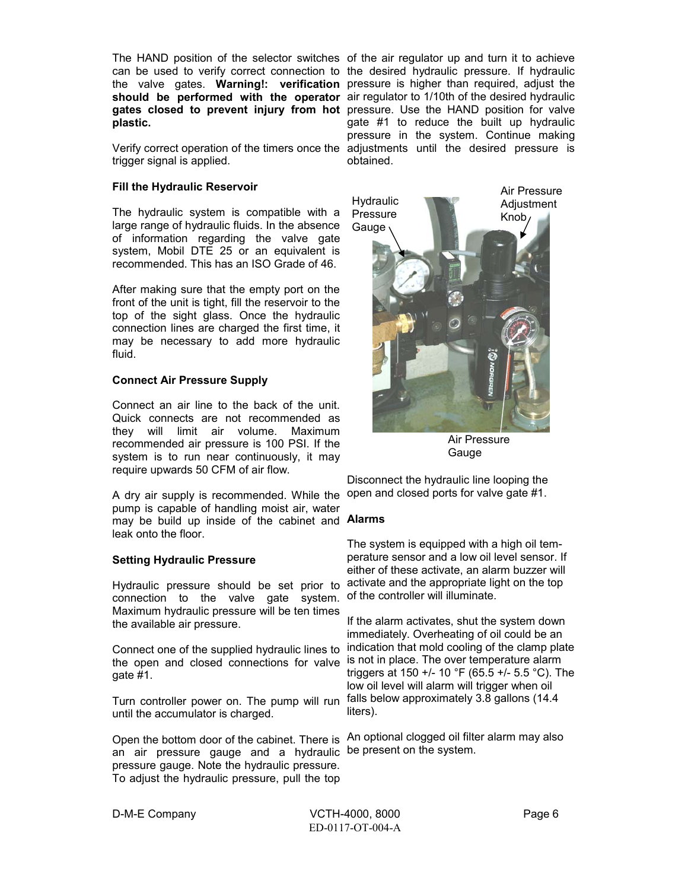**plastic.** 

trigger signal is applied.

#### **Fill the Hydraulic Reservoir**

The hydraulic system is compatible with a large range of hydraulic fluids. In the absence of information regarding the valve gate system, Mobil DTE 25 or an equivalent is recommended. This has an ISO Grade of 46.

After making sure that the empty port on the front of the unit is tight, fill the reservoir to the top of the sight glass. Once the hydraulic connection lines are charged the first time, it may be necessary to add more hydraulic fluid.

#### **Connect Air Pressure Supply**

Connect an air line to the back of the unit. Quick connects are not recommended as they will limit air volume. Maximum recommended air pressure is 100 PSI. If the system is to run near continuously, it may require upwards 50 CFM of air flow.

A dry air supply is recommended. While the open and closed ports for valve gate #1. pump is capable of handling moist air, water may be build up inside of the cabinet and **Alarms** leak onto the floor.

#### **Setting Hydraulic Pressure**

connection to the valve gate system. Maximum hydraulic pressure will be ten times the available air pressure.

Connect one of the supplied hydraulic lines to the open and closed connections for valve is not in place. The over temperature alarm  $aate #1.$ 

Turn controller power on. The pump will run until the accumulator is charged.

an air pressure gauge and a hydraulic be present on the system. pressure gauge. Note the hydraulic pressure. To adjust the hydraulic pressure, pull the top

The HAND position of the selector switches of the air regulator up and turn it to achieve can be used to verify correct connection to the desired hydraulic pressure. If hydraulic the valve gates. **Warning!: verification**  pressure is higher than required, adjust the **should be performed with the operator**  air regulator to 1/10th of the desired hydraulic **gates closed to prevent injury from hot**  pressure. Use the HAND position for valve Verify correct operation of the timers once the adjustments until the desired pressure is gate #1 to reduce the built up hydraulic pressure in the system. Continue making obtained.



Air Pressure Gauge

Disconnect the hydraulic line looping the

Hydraulic pressure should be set prior to activate and the appropriate light on the top The system is equipped with a high oil temperature sensor and a low oil level sensor. If either of these activate, an alarm buzzer will of the controller will illuminate.

> If the alarm activates, shut the system down immediately. Overheating of oil could be an indication that mold cooling of the clamp plate triggers at 150 +/- 10 °F (65.5 +/- 5.5 °C). The low oil level will alarm will trigger when oil falls below approximately 3.8 gallons (14.4 liters).

Open the bottom door of the cabinet. There is An optional clogged oil filter alarm may also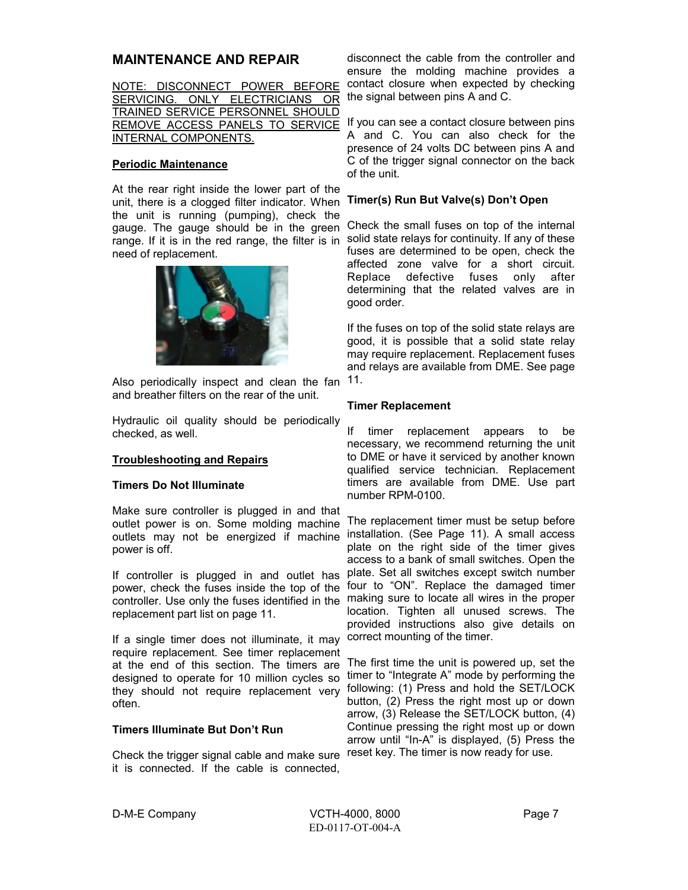#### **MAINTENANCE AND REPAIR**

| NOTE: DISCONNECT POWER BEFORE           |  |  |  |
|-----------------------------------------|--|--|--|
| SERVICING. ONLY ELECTRICIANS OR         |  |  |  |
| <b>TRAINED SERVICE PERSONNEL SHOULD</b> |  |  |  |
| REMOVE ACCESS PANELS TO SERVICE         |  |  |  |
| INTERNAL COMPONENTS.                    |  |  |  |

#### **Periodic Maintenance**

At the rear right inside the lower part of the unit, there is a clogged filter indicator. When the unit is running (pumping), check the gauge. The gauge should be in the green range. If it is in the red range, the filter is in solid state relays for continuity. If any of these need of replacement.



Also periodically inspect and clean the fan 11. and breather filters on the rear of the unit.

Hydraulic oil quality should be periodically checked, as well.

#### **Troubleshooting and Repairs**

#### **Timers Do Not Illuminate**

Make sure controller is plugged in and that outlet power is on. Some molding machine outlets may not be energized if machine power is off.

If controller is plugged in and outlet has power, check the fuses inside the top of the controller. Use only the fuses identified in the making sure to locate all wires in the proper replacement part list on page 11.

If a single timer does not illuminate, it may correct mounting of the timer. require replacement. See timer replacement at the end of this section. The timers are designed to operate for 10 million cycles so they should not require replacement very often.

#### **Timers Illuminate But Don't Run**

Check the trigger signal cable and make sure reset key. The timer is now ready for use. it is connected. If the cable is connected,

disconnect the cable from the controller and ensure the molding machine provides a contact closure when expected by checking the signal between pins A and C.

If you can see a contact closure between pins A and C. You can also check for the presence of 24 volts DC between pins A and C of the trigger signal connector on the back of the unit.

#### **Timer(s) Run But Valve(s) Don't Open**

Check the small fuses on top of the internal fuses are determined to be open, check the affected zone valve for a short circuit. Replace defective fuses only after determining that the related valves are in good order.

If the fuses on top of the solid state relays are good, it is possible that a solid state relay may require replacement. Replacement fuses and relays are available from DME. See page

#### **Timer Replacement**

If timer replacement appears to be necessary, we recommend returning the unit to DME or have it serviced by another known qualified service technician. Replacement timers are available from DME. Use part number RPM-0100.

The replacement timer must be setup before installation. (See Page 11). A small access plate on the right side of the timer gives access to a bank of small switches. Open the plate. Set all switches except switch number four to "ON". Replace the damaged timer location. Tighten all unused screws. The provided instructions also give details on

The first time the unit is powered up, set the timer to "Integrate A" mode by performing the following: (1) Press and hold the SET/LOCK button, (2) Press the right most up or down arrow, (3) Release the SET/LOCK button, (4) Continue pressing the right most up or down arrow until "In-A" is displayed, (5) Press the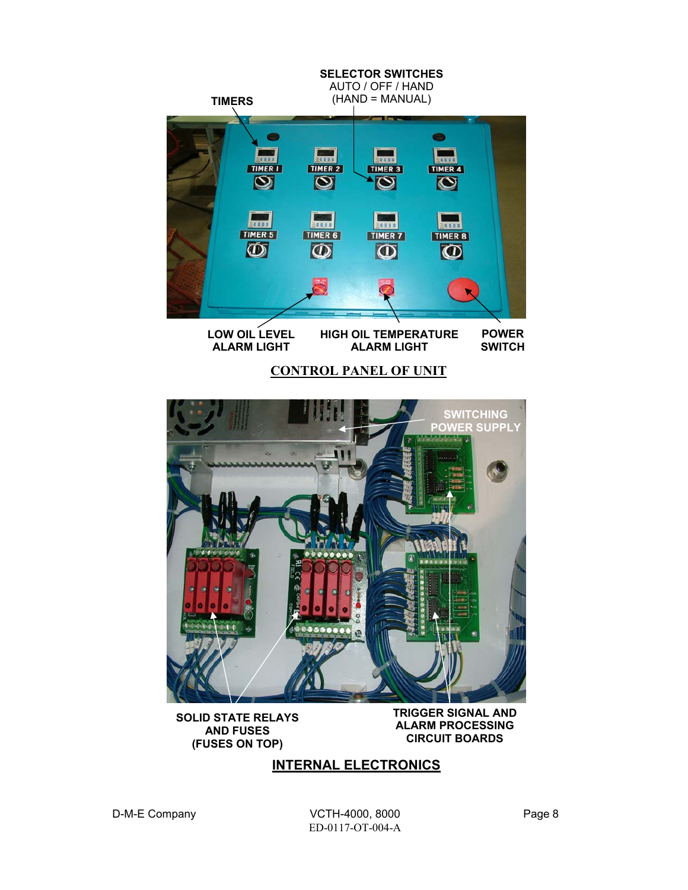



**AND FUSES (FUSES ON TOP)**  **TRIGGER SIGNAL AND ALARM PROCESSING CIRCUIT BOARDS** 

### **INTERNAL ELECTRONICS**

D-M-E Company COTH-4000, 8000 ED-0117-OT-004-A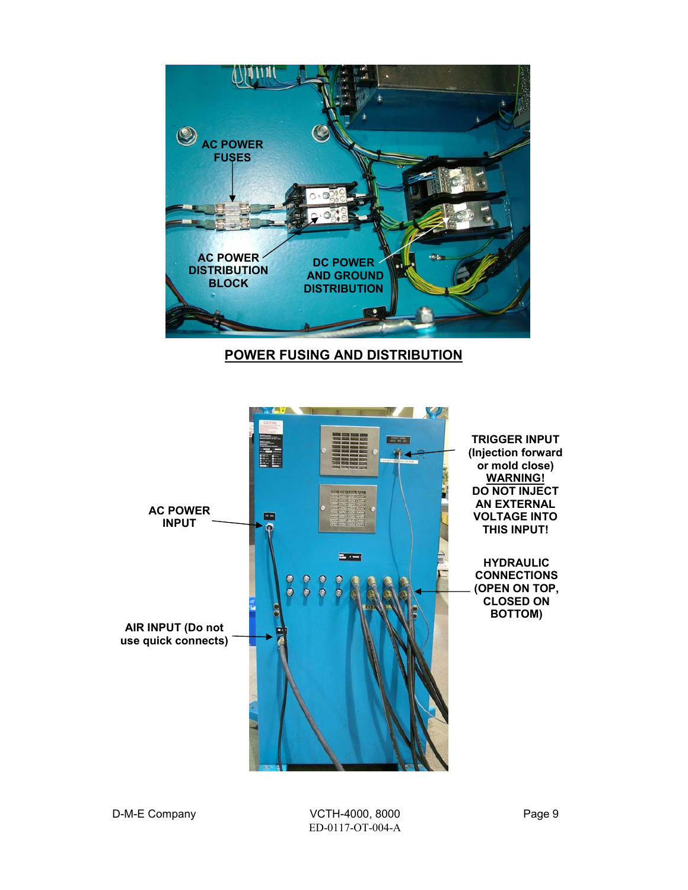

### **POWER FUSING AND DISTRIBUTION**

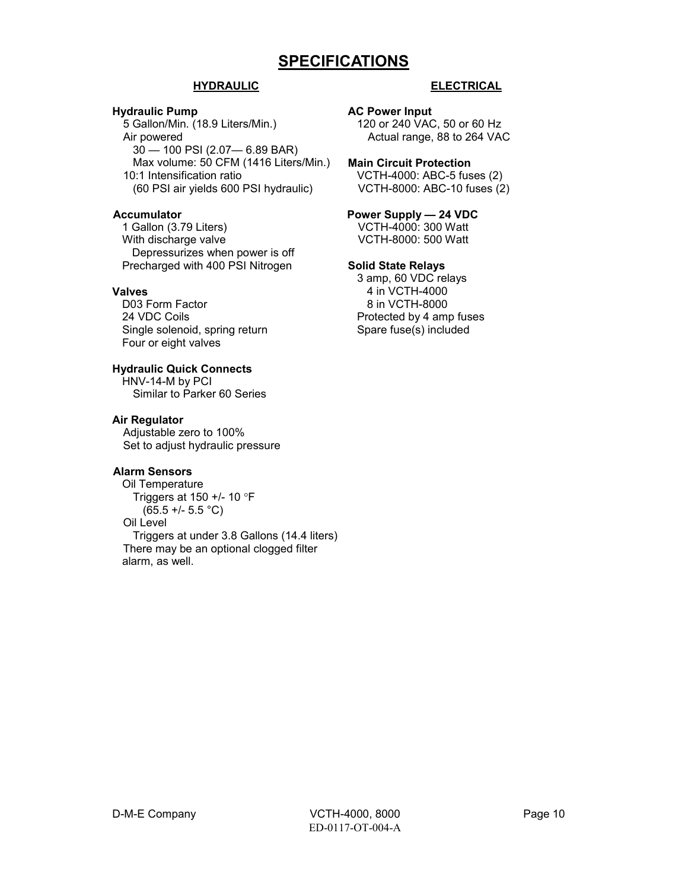## **SPECIFICATIONS**

#### **HYDRAULIC**

#### **Hydraulic Pump**

5 Gallon/Min. (18.9 Liters/Min.) Air powered 30 — 100 PSI (2.07— 6.89 BAR) Max volume: 50 CFM (1416 Liters/Min.) 10:1 Intensification ratio (60 PSI air yields 600 PSI hydraulic)

#### **Accumulator**

1 Gallon (3.79 Liters) With discharge valve Depressurizes when power is off Precharged with 400 PSI Nitrogen

#### **Valves**

D03 Form Factor 24 VDC Coils Single solenoid, spring return Four or eight valves

#### **Hydraulic Quick Connects**

HNV-14-M by PCI Similar to Parker 60 Series

#### **Air Regulator**

Adjustable zero to 100% Set to adjust hydraulic pressure

#### **Alarm Sensors**

Oil Temperature Triggers at 150 +/- 10 °F  $(65.5 +/- 5.5 °C)$ Oil Level Triggers at under 3.8 Gallons (14.4 liters) There may be an optional clogged filter alarm, as well.

#### **ELECTRICAL**

#### **AC Power Input**

120 or 240 VAC, 50 or 60 Hz Actual range, 88 to 264 VAC

#### **Main Circuit Protection**

VCTH-4000: ABC-5 fuses (2) VCTH-8000: ABC-10 fuses (2)

## **Power Supply — 24 VDC**

VCTH-4000: 300 Watt VCTH-8000: 500 Watt

#### **Solid State Relays**

3 amp, 60 VDC relays 4 in VCTH-4000 8 in VCTH-8000 Protected by 4 amp fuses Spare fuse(s) included